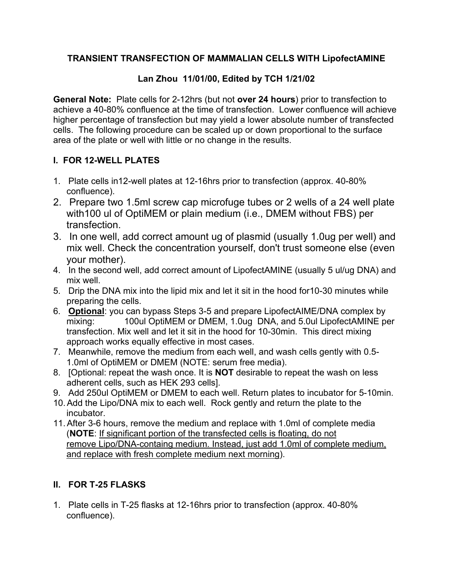## **TRANSIENT TRANSFECTION OF MAMMALIAN CELLS WITH LipofectAMINE**

## **Lan Zhou 11/01/00, Edited by TCH 1/21/02**

**General Note:** Plate cells for 2-12hrs (but not **over 24 hours**) prior to transfection to achieve a 40-80% confluence at the time of transfection. Lower confluence will achieve higher percentage of transfection but may yield a lower absolute number of transfected cells. The following procedure can be scaled up or down proportional to the surface area of the plate or well with little or no change in the results.

## **I. FOR 12-WELL PLATES**

- 1. Plate cells in12-well plates at 12-16hrs prior to transfection (approx. 40-80% confluence).
- 2. Prepare two 1.5ml screw cap microfuge tubes or 2 wells of a 24 well plate with100 ul of OptiMEM or plain medium (i.e., DMEM without FBS) per transfection.
- 3. In one well, add correct amount ug of plasmid (usually 1.0ug per well) and mix well. Check the concentration yourself, don't trust someone else (even your mother).
- 4. In the second well, add correct amount of LipofectAMINE (usually 5 ul/ug DNA) and mix well.
- 5. Drip the DNA mix into the lipid mix and let it sit in the hood for10-30 minutes while preparing the cells.
- 6. **Optional**: you can bypass Steps 3-5 and prepare LipofectAIME/DNA complex by mixing: 100ul OptiMEM or DMEM, 1.0ug DNA, and 5.0ul LipofectAMINE per transfection. Mix well and let it sit in the hood for 10-30min. This direct mixing approach works equally effective in most cases.
- 7. Meanwhile, remove the medium from each well, and wash cells gently with 0.5- 1.0ml of OptiMEM or DMEM (NOTE: serum free media).
- 8. [Optional: repeat the wash once. It is **NOT** desirable to repeat the wash on less adherent cells, such as HEK 293 cells].
- 9. Add 250ul OptiMEM or DMEM to each well. Return plates to incubator for 5-10min.
- 10.Add the Lipo/DNA mix to each well. Rock gently and return the plate to the incubator.
- 11.After 3-6 hours, remove the medium and replace with 1.0ml of complete media (**NOTE**: If significant portion of the transfected cells is floating, do not remove Lipo/DNA-containg medium. Instead, just add 1.0ml of complete medium, and replace with fresh complete medium next morning).

## **II. FOR T-25 FLASKS**

1. Plate cells in T-25 flasks at 12-16hrs prior to transfection (approx. 40-80% confluence).